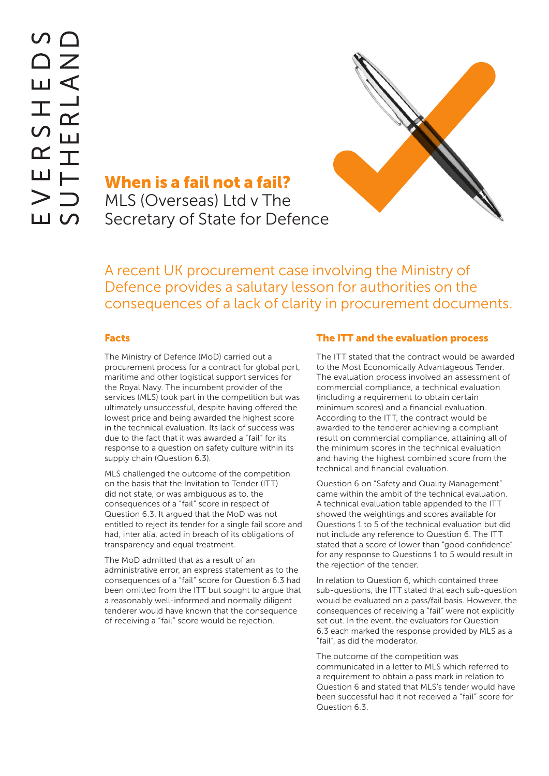

# When is a fail not a fail?

MLS (Overseas) Ltd v The Secretary of State for Defence

A recent UK procurement case involving the Ministry of Defence provides a salutary lesson for authorities on the consequences of a lack of clarity in procurement documents.

#### Facts

The Ministry of Defence (MoD) carried out a procurement process for a contract for global port, maritime and other logistical support services for the Royal Navy. The incumbent provider of the services (MLS) took part in the competition but was ultimately unsuccessful, despite having offered the lowest price and being awarded the highest score in the technical evaluation. Its lack of success was due to the fact that it was awarded a "fail" for its response to a question on safety culture within its supply chain (Question 6.3).

MLS challenged the outcome of the competition on the basis that the Invitation to Tender (ITT) did not state, or was ambiguous as to, the consequences of a "fail" score in respect of Question 6.3. It argued that the MoD was not entitled to reject its tender for a single fail score and had, inter alia, acted in breach of its obligations of transparency and equal treatment.

The MoD admitted that as a result of an administrative error, an express statement as to the consequences of a "fail" score for Question 6.3 had been omitted from the ITT but sought to argue that a reasonably well-informed and normally diligent tenderer would have known that the consequence of receiving a "fail" score would be rejection.

#### The ITT and the evaluation process

The ITT stated that the contract would be awarded to the Most Economically Advantageous Tender. The evaluation process involved an assessment of commercial compliance, a technical evaluation (including a requirement to obtain certain minimum scores) and a financial evaluation. According to the ITT, the contract would be awarded to the tenderer achieving a compliant result on commercial compliance, attaining all of the minimum scores in the technical evaluation and having the highest combined score from the technical and financial evaluation.

Question 6 on "Safety and Quality Management" came within the ambit of the technical evaluation. A technical evaluation table appended to the ITT showed the weightings and scores available for Questions 1 to 5 of the technical evaluation but did not include any reference to Question 6. The ITT stated that a score of lower than "good confidence" for any response to Questions 1 to 5 would result in the rejection of the tender.

In relation to Question 6, which contained three sub-questions, the ITT stated that each sub-question would be evaluated on a pass/fail basis. However, the consequences of receiving a "fail" were not explicitly set out. In the event, the evaluators for Question 6.3 each marked the response provided by MLS as a "fail", as did the moderator.

The outcome of the competition was communicated in a letter to MLS which referred to a requirement to obtain a pass mark in relation to Question 6 and stated that MLS's tender would have been successful had it not received a "fail" score for Question 6.3.